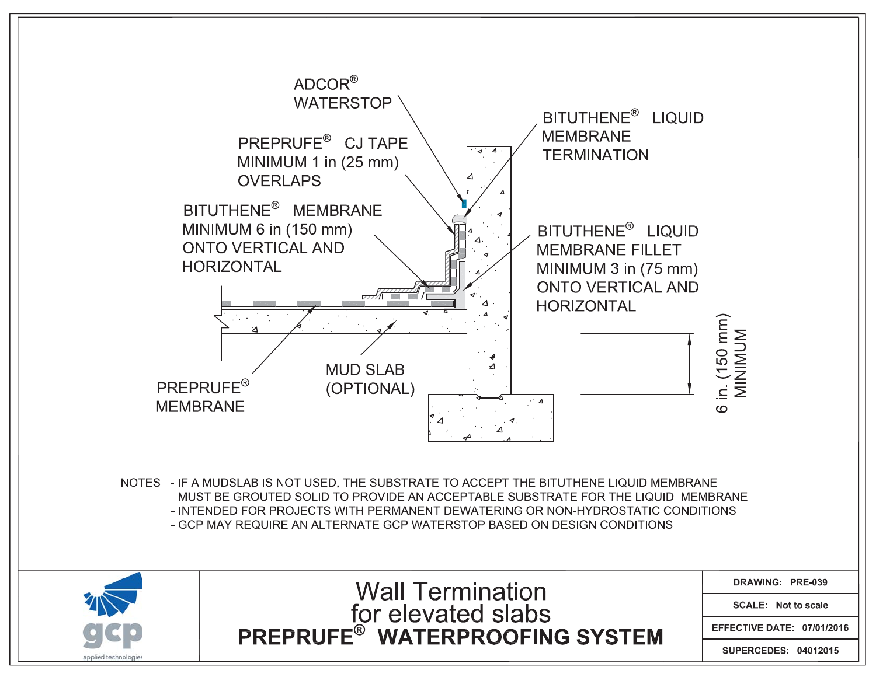



**Wall Termination EXAMPLEMENT SUBSEXERCITE**<br>PREPRUFE® WATERPROOFING SYSTEM DRAWING: PRE-039

**SCALE: Not to scale** 

EFFECTIVE DATE: 07/01/2016

SUPERCEDES: 04012015